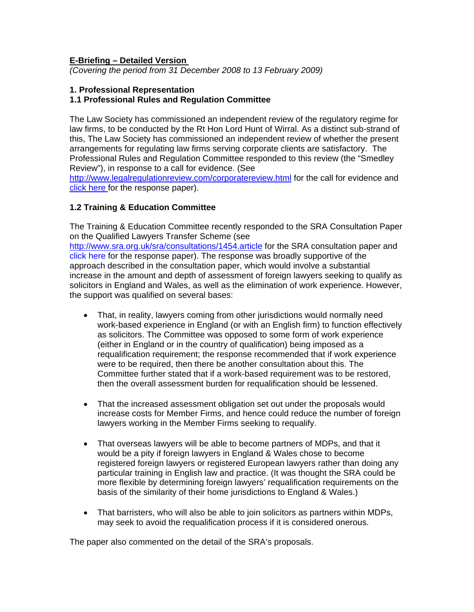### **E-Briefing – Detailed Version**

*(Covering the period from 31 December 2008 to 13 February 2009)* 

### **1. Professional Representation**

### **1.1 Professional Rules and Regulation Committee**

The Law Society has commissioned an independent review of the regulatory regime for law firms, to be conducted by the Rt Hon Lord Hunt of Wirral. As a distinct sub-strand of this, The Law Society has commissioned an independent review of whether the present arrangements for regulating law firms serving corporate clients are satisfactory. The Professional Rules and Regulation Committee responded to this review (the "Smedley Review"), in response to a call for evidence. (See

<http://www.legalregulationreview.com/corporatereview.html>for the call for evidence and [click here f](http://www.citysolicitors.org.uk/FileServer.aspx?oID=498&lID=0)or the response paper).

### **1.2 Training & Education Committee**

The Training & Education Committee recently responded to the SRA Consultation Paper on the Qualified Lawyers Transfer Scheme (see <http://www.sra.org.uk/sra/consultations/1454.article> for the SRA consultation paper and [click here](http://www.citysolicitors.org.uk/FileServer.aspx?oID=512&lID=0) for the response paper). The response was broadly supportive of the approach described in the consultation paper, which would involve a substantial increase in the amount and depth of assessment of foreign lawyers seeking to qualify as solicitors in England and Wales, as well as the elimination of work experience. However, the support was qualified on several bases:

- That, in reality, lawyers coming from other jurisdictions would normally need work-based experience in England (or with an English firm) to function effectively as solicitors. The Committee was opposed to some form of work experience (either in England or in the country of qualification) being imposed as a requalification requirement; the response recommended that if work experience were to be required, then there be another consultation about this. The Committee further stated that if a work-based requirement was to be restored, then the overall assessment burden for requalification should be lessened.
- That the increased assessment obligation set out under the proposals would increase costs for Member Firms, and hence could reduce the number of foreign lawyers working in the Member Firms seeking to requalify.
- That overseas lawyers will be able to become partners of MDPs, and that it would be a pity if foreign lawyers in England & Wales chose to become registered foreign lawyers or registered European lawyers rather than doing any particular training in English law and practice. (It was thought the SRA could be more flexible by determining foreign lawyers' requalification requirements on the basis of the similarity of their home jurisdictions to England & Wales.)
- That barristers, who will also be able to join solicitors as partners within MDPs, may seek to avoid the requalification process if it is considered onerous.

The paper also commented on the detail of the SRA's proposals.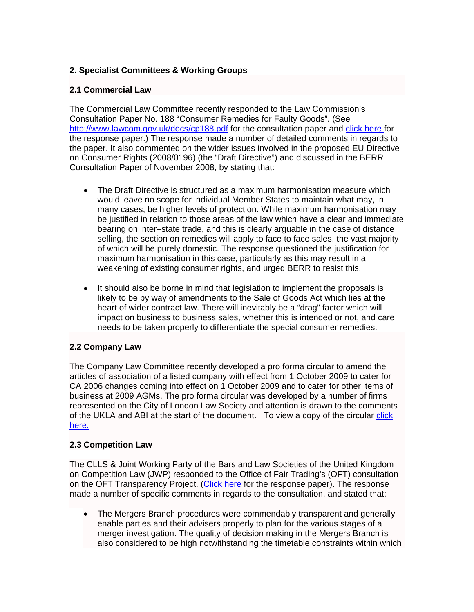# **2. Specialist Committees & Working Groups**

## **2.1 [Commercial Law](http://www.citysolicitors.org.uk/Default.aspx?sID=913&lID=0)**

The Commercial Law Committee recently responded to the Law Commission's Consultation Paper No. 188 "Consumer Remedies for Faulty Goods". (See http://www.lawcom.gov.uk/docs/cp188.pdf for the consultation paper and [click here](http://www.citysolicitors.org.uk/FileServer.aspx?oID=508&lID=0) for the response paper.) The response made a number of detailed comments in regards to the paper. It also commented on the wider issues involved in the proposed EU Directive on Consumer Rights (2008/0196) (the "Draft Directive") and discussed in the BERR Consultation Paper of November 2008, by stating that:

- The Draft Directive is structured as a maximum harmonisation measure which would leave no scope for individual Member States to maintain what may, in many cases, be higher levels of protection. While maximum harmonisation may be justified in relation to those areas of the law which have a clear and immediate bearing on inter–state trade, and this is clearly arguable in the case of distance selling, the section on remedies will apply to face to face sales, the vast majority of which will be purely domestic. The response questioned the justification for maximum harmonisation in this case, particularly as this may result in a weakening of existing consumer rights, and urged BERR to resist this.
- It should also be borne in mind that legislation to implement the proposals is likely to be by way of amendments to the Sale of Goods Act which lies at the heart of wider contract law. There will inevitably be a "drag" factor which will impact on business to business sales, whether this is intended or not, and care needs to be taken properly to differentiate the special consumer remedies.

# **2.2 [Company Law](http://www.citysolicitors.org.uk/Default.aspx?sID=914&lID=0)**

The Company Law Committee recently developed a pro forma circular to amend the articles of association of a listed company with effect from 1 October 2009 to cater for CA 2006 changes coming into effect on 1 October 2009 and to cater for other items of business at 2009 AGMs. The pro forma circular was developed by a number of firms represented on the City of London Law Society and attention is drawn to the comments of the UKLA and ABI at the start of the document. To view a copy of the circular click [here.](http://www.citysolicitors.org.uk/FileServer.aspx?oID=509&lID=0)

### **2.3 [Competition Law](http://www.citysolicitors.org.uk/Default.aspx?sID=915&lID=0)**

The CLLS & Joint Working Party of the Bars and Law Societies of the United Kingdom on Competition Law (JWP) responded to the Office of Fair Trading's (OFT) consultation on the OFT Transparency Project. ([Click here](http://www.citysolicitors.org.uk/FileServer.aspx?oID=502&lID=0) for the response paper). The response made a number of specific comments in regards to the consultation, and stated that:

• The Mergers Branch procedures were commendably transparent and generally enable parties and their advisers properly to plan for the various stages of a merger investigation. The quality of decision making in the Mergers Branch is also considered to be high notwithstanding the timetable constraints within which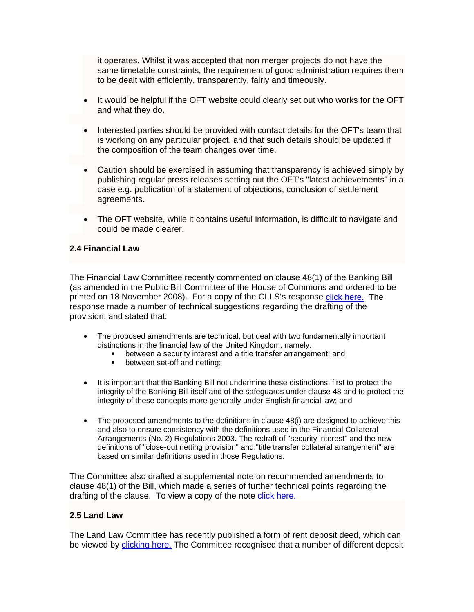it operates. Whilst it was accepted that non merger projects do not have the same timetable constraints, the requirement of good administration requires them to be dealt with efficiently, transparently, fairly and timeously.

- It would be helpful if the OFT website could clearly set out who works for the OFT and what they do.
- Interested parties should be provided with contact details for the OFT's team that is working on any particular project, and that such details should be updated if the composition of the team changes over time.
- Caution should be exercised in assuming that transparency is achieved simply by publishing regular press releases setting out the OFT's "latest achievements" in a case e.g. publication of a statement of objections, conclusion of settlement agreements.
- The OFT website, while it contains useful information, is difficult to navigate and could be made clearer.

### **2.4 [Financial Law](http://www.citysolicitors.org.uk/Default.aspx?sID=919&lID=0)**

The Financial Law Committee recently commented on clause 48(1) of the Banking Bill (as amended in the Public Bill Committee of the House of Commons and ordered to be printed on 18 November 2008). For a copy of the CLLS's response [click here.](http://www.citysolicitors.org.uk/FileServer.aspx?oID=477&lID=0) The response made a number of technical suggestions regarding the drafting of the provision, and stated that:

- The proposed amendments are technical, but deal with two fundamentally important distinctions in the financial law of the United Kingdom, namely:
	- between a security interest and a title transfer arrangement; and
	- **•** between set-off and netting;
- It is important that the Banking Bill not undermine these distinctions, first to protect the integrity of the Banking Bill itself and of the safeguards under clause 48 and to protect the integrity of these concepts more generally under English financial law; and
- The proposed amendments to the definitions in clause 48(i) are designed to achieve this and also to ensure consistency with the definitions used in the Financial Collateral Arrangements (No. 2) Regulations 2003. The redraft of "security interest" and the new definitions of "close-out netting provision" and "title transfer collateral arrangement" are based on similar definitions used in those Regulations.

The Committee also drafted a supplemental note on recommended amendments to clause 48(1) of the Bill, which made a series of further technical points regarding the drafting of the clause. To view a copy of the note [click here.](http://www.citysolicitors.org.uk/FileServer.aspx?oID=496&lID=0)

#### **2.5 [Land Law](http://www.citysolicitors.org.uk/Default.aspx?sID=923&lID=0)**

The Land Law Committee has recently published a form of rent deposit deed, which can be viewed by [clicking here.](http://www.citysolicitors.org.uk/FileServer.aspx?oID=479&lID=0) The Committee recognised that a number of different deposit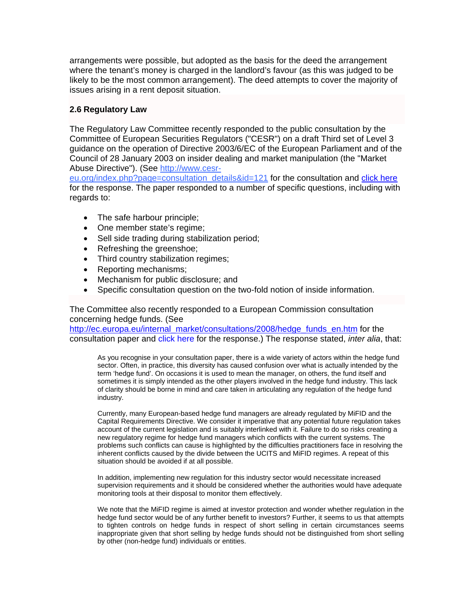arrangements were possible, but adopted as the basis for the deed the arrangement where the tenant's money is charged in the landlord's favour (as this was judged to be likely to be the most common arrangement). The deed attempts to cover the majority of issues arising in a rent deposit situation.

#### **2.6 [Regulatory Law](http://www.citysolicitors.org.uk/Default.aspx?sID=926&lID=0)**

The Regulatory Law Committee recently responded to the public consultation by the Committee of European Securities Regulators ("CESR") on a draft Third set of Level 3 guidance on the operation of Directive 2003/6/EC of the European Parliament and of the Council of 28 January 2003 on insider dealing and market manipulation (the "Market Abuse Directive"). (See http://www.cesr-

eu.org/index.php?page=consultation\_details&id=121 for the consultation and [click here](http://www.citysolicitors.org.uk/FileServer.aspx?oID=483&lID=0) for the response. The paper responded to a number of specific questions, including with regards to:

- The safe harbour principle;
- One member state's regime;
- Sell side trading during stabilization period;
- Refreshing the greenshoe;
- Third country stabilization regimes;
- Reporting mechanisms;
- Mechanism for public disclosure; and
- Specific consultation question on the two-fold notion of inside information.

The Committee also recently responded to a European Commission consultation concerning hedge funds. (See

http://ec.europa.eu/internal\_market/consultations/2008/hedge\_funds\_en.htm for the consultation paper and [click here](http://www.citysolicitors.org.uk/FileServer.aspx?oID=507&lID=0) for the response.) The response stated, *inter alia*, that:

As you recognise in your consultation paper, there is a wide variety of actors within the hedge fund sector. Often, in practice, this diversity has caused confusion over what is actually intended by the term 'hedge fund'. On occasions it is used to mean the manager, on others, the fund itself and sometimes it is simply intended as the other players involved in the hedge fund industry. This lack of clarity should be borne in mind and care taken in articulating any regulation of the hedge fund industry.

Currently, many European-based hedge fund managers are already regulated by MiFID and the Capital Requirements Directive. We consider it imperative that any potential future regulation takes account of the current legislation and is suitably interlinked with it. Failure to do so risks creating a new regulatory regime for hedge fund managers which conflicts with the current systems. The problems such conflicts can cause is highlighted by the difficulties practitioners face in resolving the inherent conflicts caused by the divide between the UCITS and MiFID regimes. A repeat of this situation should be avoided if at all possible.

In addition, implementing new regulation for this industry sector would necessitate increased supervision requirements and it should be considered whether the authorities would have adequate monitoring tools at their disposal to monitor them effectively.

We note that the MiFID regime is aimed at investor protection and wonder whether regulation in the hedge fund sector would be of any further benefit to investors? Further, it seems to us that attempts to tighten controls on hedge funds in respect of short selling in certain circumstances seems inappropriate given that short selling by hedge funds should not be distinguished from short selling by other (non-hedge fund) individuals or entities.